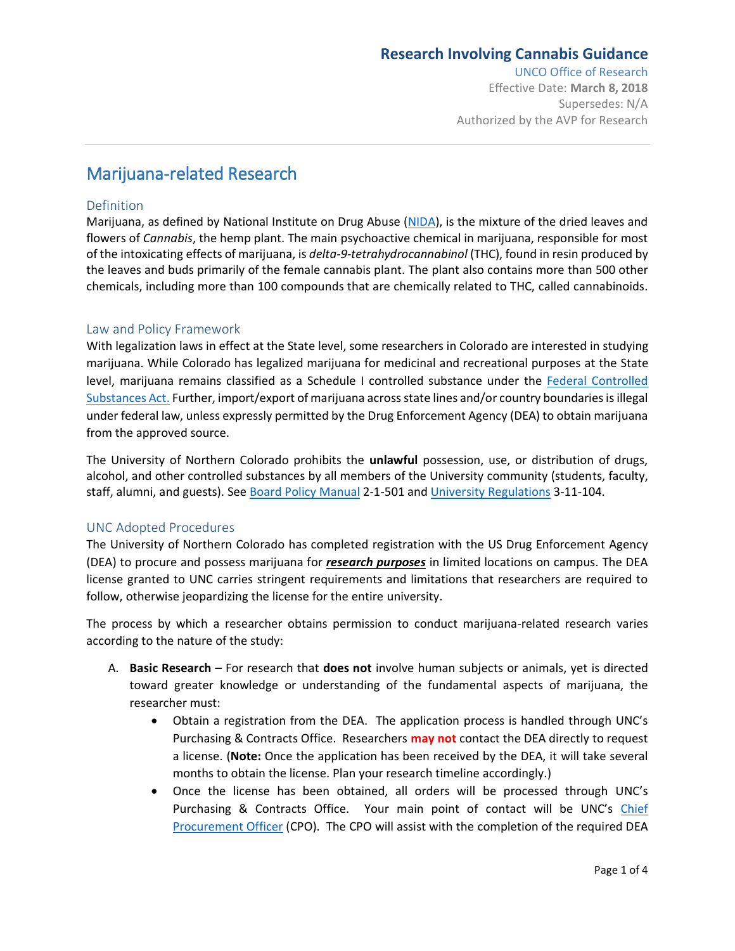### **Research Involving Cannabis Guidance**

UNCO Office of Research Effective Date: **March 8, 2018** Supersedes: N/A Authorized by the AVP for Research

# Marijuana-related Research

#### Definition

Marijuana, as defined by National Institute on Drug Abuse [\(NIDA\)](https://www.drugabuse.gov/publications/research-reports/marijuana/references), is the mixture of the dried leaves and flowers of *Cannabis*, the hemp plant. The main psychoactive chemical in marijuana, responsible for most of the intoxicating effects of marijuana, is *delta-9-tetrahydrocannabinol* (THC), found in resin produced by the leaves and buds primarily of the female cannabis plant. The plant also contains more than 500 other chemicals, including more than 100 compounds that are chemically related to THC, called cannabinoids.

### Law and Policy Framework

With legalization laws in effect at the State level, some researchers in Colorado are interested in studying marijuana. While Colorado has legalized marijuana for medicinal and recreational purposes at the State level, marijuana remains classified as a Schedule I controlled substance under the [Federal Controlled](https://www.deadiversion.usdoj.gov/21cfr/21usc/)  [Substances Act.](https://www.deadiversion.usdoj.gov/21cfr/21usc/) Further, import/export of marijuana across state lines and/or country boundaries isillegal under federal law, unless expressly permitted by the Drug Enforcement Agency (DEA) to obtain marijuana from the approved source.

The University of Northern Colorado prohibits the **unlawful** possession, use, or distribution of drugs, alcohol, and other controlled substances by all members of the University community (students, faculty, staff, alumni, and guests). See [Board Policy Manual](https://www.google.com/url?sa=t&rct=j&q=&esrc=s&source=web&cd=1&cad=rja&uact=8&ved=0ahUKEwiev-L2kr3ZAhUK4YMKHf2IAY4QFggnMAA&url=http%3A%2F%2Fwww.unco.edu%2Ftrustees%2Fpdf%2Fpolicy_manual.pdf&usg=AOvVaw2QugsaHqnr7KkDKzq2RY8c) 2-1-501 and [University Regulations](https://www.google.com/url?sa=t&rct=j&q=&esrc=s&source=web&cd=2&cad=rja&uact=8&ved=0ahUKEwiev-L2kr3ZAhUK4YMKHf2IAY4QFggxMAE&url=http%3A%2F%2Fwww.unco.edu%2Ftrustees%2Fpdf%2FUniversity_Regulations.pdf&usg=AOvVaw3WayYX7BIlmoaKzb4qK8pl) 3-11-104.

### UNC Adopted Procedures

The University of Northern Colorado has completed registration with the US Drug Enforcement Agency (DEA) to procure and possess marijuana for *research purposes* in limited locations on campus. The DEA license granted to UNC carries stringent requirements and limitations that researchers are required to follow, otherwise jeopardizing the license for the entire university.

The process by which a researcher obtains permission to conduct marijuana-related research varies according to the nature of the study:

- A. **Basic Research** For research that **does not** involve human subjects or animals, yet is directed toward greater knowledge or understanding of the fundamental aspects of marijuana, the researcher must:
	- Obtain a registration from the DEA. The application process is handled through UNC's Purchasing & Contracts Office. Researchers **may not** contact the DEA directly to request a license. (**Note:** Once the application has been received by the DEA, it will take several months to obtain the license. Plan your research timeline accordingly.)
	- Once the license has been obtained, all orders will be processed through UNC's Purchasing & Contracts Office. Your main point of contact will be UNC's Chief [Procurement Officer](mailto:purchasing@unco.edu?subject=For%20Chief%20Procurement%20Officer:%20Cannabis%20Research%20Inquiry) (CPO). The CPO will assist with the completion of the required DEA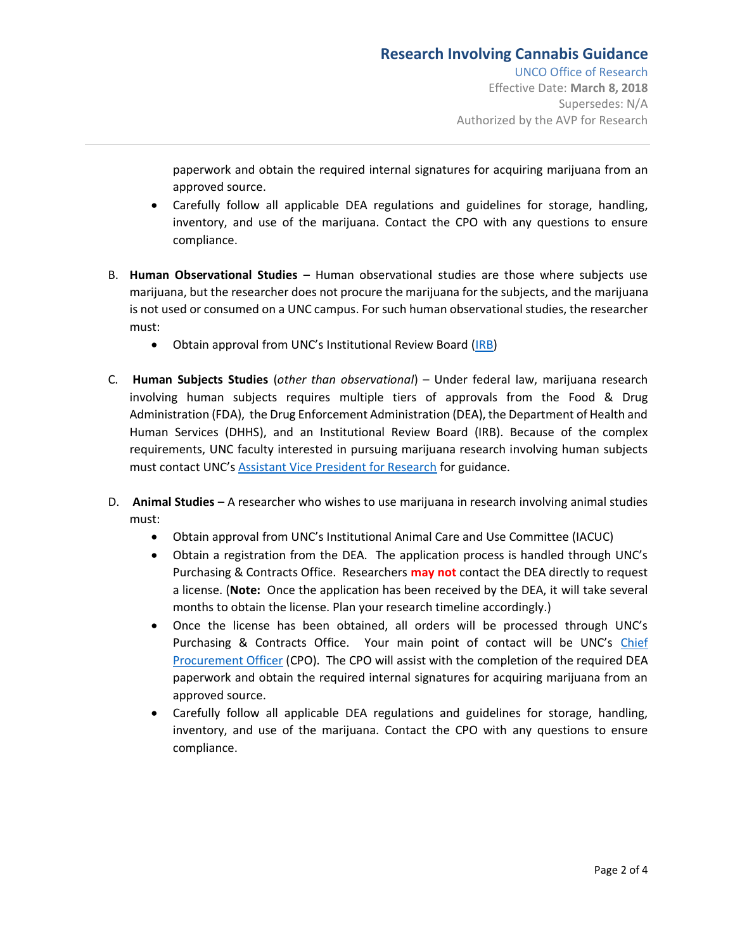Effective Date: **March 8, 2018** Supersedes: N/A Authorized by the AVP for Research

paperwork and obtain the required internal signatures for acquiring marijuana from an approved source.

- Carefully follow all applicable DEA regulations and guidelines for storage, handling, inventory, and use of the marijuana. Contact the CPO with any questions to ensure compliance.
- B. **Human Observational Studies** Human observational studies are those where subjects use marijuana, but the researcher does not procure the marijuana for the subjects, and the marijuana is not used or consumed on a UNC campus. For such human observational studies, the researcher must:
	- Obtain approval from UNC's Institutional Review Board [\(IRB\)](http://www.unco.edu/research/research-integrity-and-compliance/institutional-review-board/)
- C. **Human Subjects Studies** (*other than observational*) Under federal law, marijuana research involving human subjects requires multiple tiers of approvals from the Food & Drug Administration (FDA), the Drug Enforcement Administration (DEA), the Department of Health and Human Services (DHHS), and an Institutional Review Board (IRB). Because of the complex requirements, UNC faculty interested in pursuing marijuana research involving human subjects must contact UNC's [Assistant Vice President for Research](mailto:%20research@unco.edu?subject=Cannabis%20Research%20-%20Human%20Subjects) for guidance.
- D. **Animal Studies** A researcher who wishes to use marijuana in research involving animal studies must:
	- Obtain approval from UNC's Institutional Animal Care and Use Committee (IACUC)
	- Obtain a registration from the DEA. The application process is handled through UNC's Purchasing & Contracts Office. Researchers **may not** contact the DEA directly to request a license. (**Note:** Once the application has been received by the DEA, it will take several months to obtain the license. Plan your research timeline accordingly.)
	- Once the license has been obtained, all orders will be processed through UNC's Purchasing & Contracts Office. Your main point of contact will be UNC's [Chief](mailto:purchasing@unco.edu?subject=For%20Chief%20Procurement%20Officer:%20Cannabis%20Research%20Inquiry)  [Procurement Officer](mailto:purchasing@unco.edu?subject=For%20Chief%20Procurement%20Officer:%20Cannabis%20Research%20Inquiry) (CPO). The CPO will assist with the completion of the required DEA paperwork and obtain the required internal signatures for acquiring marijuana from an approved source.
	- Carefully follow all applicable DEA regulations and guidelines for storage, handling, inventory, and use of the marijuana. Contact the CPO with any questions to ensure compliance.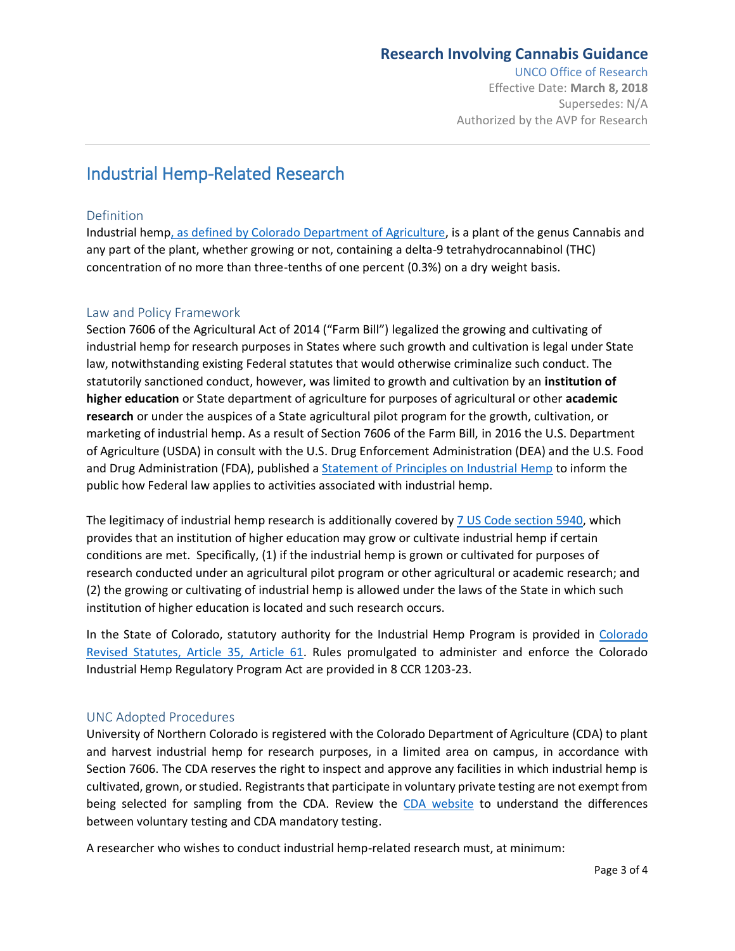## **Research Involving Cannabis Guidance**

UNCO Office of Research

Effective Date: **March 8, 2018** Supersedes: N/A Authorized by the AVP for Research

# Industrial Hemp-Related Research

### **Definition**

Industrial hemp, as defined [by Colorado Department of Agriculture,](https://www.colorado.gov/pacific/agplants/industrial-hemp) is a plant of the genus Cannabis and any part of the plant, whether growing or not, containing a delta-9 tetrahydrocannabinol (THC) concentration of no more than three-tenths of one percent (0.3%) on a dry weight basis.

### Law and Policy Framework

Section 7606 of the Agricultural Act of 2014 ("Farm Bill") legalized the growing and cultivating of industrial hemp for research purposes in States where such growth and cultivation is legal under State law, notwithstanding existing Federal statutes that would otherwise criminalize such conduct. The statutorily sanctioned conduct, however, was limited to growth and cultivation by an **institution of higher education** or State department of agriculture for purposes of agricultural or other **academic research** or under the auspices of a State agricultural pilot program for the growth, cultivation, or marketing of industrial hemp. As a result of Section 7606 of the Farm Bill, in 2016 the U.S. Department of Agriculture (USDA) in consult with the U.S. Drug Enforcement Administration (DEA) and the U.S. Food and Drug Administration (FDA), published a **Statement of Principles on Industrial Hemp** to inform the public how Federal law applies to activities associated with industrial hemp.

The legitimacy of industrial hemp research is additionally covered b[y 7 US Code section 5940,](https://www.law.cornell.edu/uscode/text/7/5940) which provides that an institution of higher education may grow or cultivate industrial hemp if certain conditions are met. Specifically, (1) if the industrial hemp is grown or cultivated for purposes of research conducted under an agricultural pilot program or other agricultural or academic research; and (2) the growing or cultivating of industrial hemp is allowed under the laws of the State in which such institution of higher education is located and such research occurs.

In the State of Colorado, statutory authority for the Industrial Hemp Program is provided in [Colorado](https://advance.lexis.com/container/?pdmfid=1000516&crid=72df8fb4-782b-4585-8ea5-de447544106f&func=LN.Advance.ContentView.getFullToc&nodeid=ABKAANAAC&typeofentry=Breadcrumb&config=0345494EJAA5ZjE0MDIyYy1kNzZkLTRkNzktYTkxMS04YmJhNjBlNWUwYzYKAFBvZENhdGFsb2e4CaPI4cak6laXLCWyLBO9&action=publictoc&pddocfullpath=%2Fshared%2Fdocument%2Fstatutes-legislation%2Furn%3AcontentItem%3A5PC1-85V0-004D-12D9-00008-00&pdtocfullpath=%2Fshared%2Ftableofcontents%2Furn%3AcontentItem%3A8001-T0H0-Y905-54R2-00008-00&ecomp=55vtkkk&prid=bebbe408-a061-4316-a310-6eccabb15aaa)  [Revised Statutes, Article 35, Article 61.](https://advance.lexis.com/container/?pdmfid=1000516&crid=72df8fb4-782b-4585-8ea5-de447544106f&func=LN.Advance.ContentView.getFullToc&nodeid=ABKAANAAC&typeofentry=Breadcrumb&config=0345494EJAA5ZjE0MDIyYy1kNzZkLTRkNzktYTkxMS04YmJhNjBlNWUwYzYKAFBvZENhdGFsb2e4CaPI4cak6laXLCWyLBO9&action=publictoc&pddocfullpath=%2Fshared%2Fdocument%2Fstatutes-legislation%2Furn%3AcontentItem%3A5PC1-85V0-004D-12D9-00008-00&pdtocfullpath=%2Fshared%2Ftableofcontents%2Furn%3AcontentItem%3A8001-T0H0-Y905-54R2-00008-00&ecomp=55vtkkk&prid=bebbe408-a061-4316-a310-6eccabb15aaa) Rules promulgated to administer and enforce the Colorado Industrial Hemp Regulatory Program Act are provided in 8 CCR 1203-23.

### UNC Adopted Procedures

University of Northern Colorado is registered with the Colorado Department of Agriculture (CDA) to plant and harvest industrial hemp for research purposes, in a limited area on campus, in accordance with Section 7606. The CDA reserves the right to inspect and approve any facilities in which industrial hemp is cultivated, grown, or studied. Registrants that participate in voluntary private testing are not exempt from being selected for sampling from the CDA. Review the [CDA website](https://www.colorado.gov/pacific/agplants/industrial-hemp) to understand the differences between voluntary testing and CDA mandatory testing.

A researcher who wishes to conduct industrial hemp-related research must, at minimum: